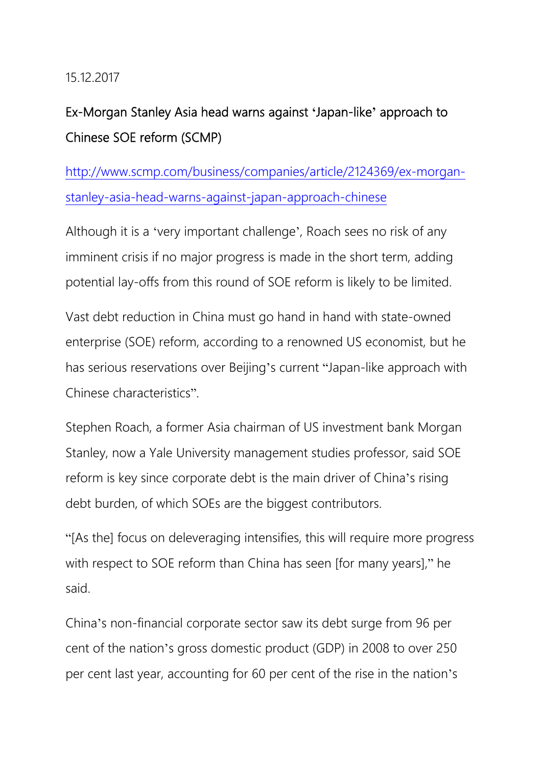### 15.12.2017

# Ex-Morgan Stanley Asia head warns against **'**Japan-like**'** approach to Chinese SOE reform (SCMP)

http://www.scmp.com/business/companies/article/2124369/ex-morganstanley-asia-head-warns-against-japan-approach-chinese

Although it is a 'very important challenge', Roach sees no risk of any imminent crisis if no major progress is made in the short term, adding potential lay-offs from this round of SOE reform is likely to be limited.

Vast debt reduction in China must go hand in hand with state-owned enterprise (SOE) reform, according to a renowned US economist, but he has serious reservations over Beijing's current "Japan-like approach with Chinese characteristics".

Stephen Roach, a former Asia chairman of US investment bank Morgan Stanley, now a Yale University management studies professor, said SOE reform is key since corporate debt is the main driver of China's rising debt burden, of which SOEs are the biggest contributors.

"[As the] focus on deleveraging intensifies, this will require more progress with respect to SOE reform than China has seen [for many years]," he said.

China's non-financial corporate sector saw its debt surge from 96 per cent of the nation's gross domestic product (GDP) in 2008 to over 250 per cent last year, accounting for 60 per cent of the rise in the nation's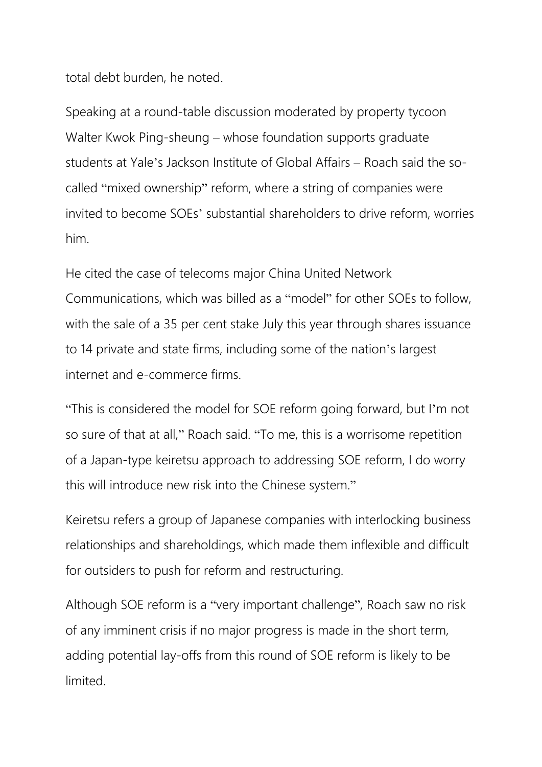total debt burden, he noted.

Speaking at a round-table discussion moderated by property tycoon Walter Kwok Ping-sheung – whose foundation supports graduate students at Yale's Jackson Institute of Global Affairs – Roach said the socalled "mixed ownership" reform, where a string of companies were invited to become SOEs' substantial shareholders to drive reform, worries him.

He cited the case of telecoms major China United Network Communications, which was billed as a "model" for other SOEs to follow, with the sale of a 35 per cent stake July this year through shares issuance to 14 private and state firms, including some of the nation's largest internet and e-commerce firms.

"This is considered the model for SOE reform going forward, but I'm not so sure of that at all," Roach said. "To me, this is a worrisome repetition of a Japan-type keiretsu approach to addressing SOE reform, I do worry this will introduce new risk into the Chinese system."

Keiretsu refers a group of Japanese companies with interlocking business relationships and shareholdings, which made them inflexible and difficult for outsiders to push for reform and restructuring.

Although SOE reform is a "very important challenge", Roach saw no risk of any imminent crisis if no major progress is made in the short term, adding potential lay-offs from this round of SOE reform is likely to be limited.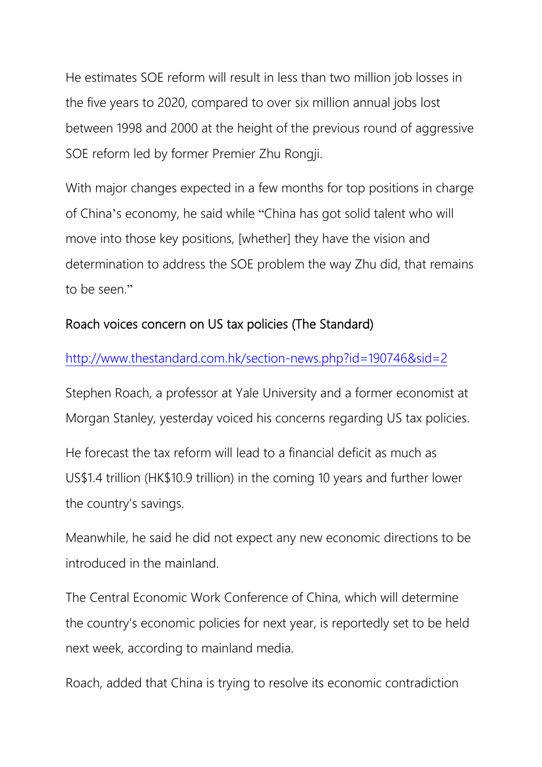He estimates SOE reform will result in less than two million job losses in the five years to 2020, compared to over six million annual jobs lost between 1998 and 2000 at the height of the previous round of aggressive SOE reform led by former Premier Zhu Rongji.

With major changes expected in a few months for top positions in charge of China's economy, he said while "China has got solid talent who will move into those key positions, [whether] they have the vision and determination to address the SOE problem the way Zhu did, that remains to be seen."

## Roach voices concern on US tax policies (The Standard)

http://www.thestandard.com.hk/section-news.php?id=190746&sid=2

Stephen Roach, a professor at Yale University and a former economist at Morgan Stanley, yesterday voiced his concerns regarding US tax policies.

He forecast the tax reform will lead to a financial deficit as much as US\$1.4 trillion (HK\$10.9 trillion) in the coming 10 years and further lower the country's savings.

Meanwhile, he said he did not expect any new economic directions to be introduced in the mainland.

The Central Economic Work Conference of China, which will determine the country's economic policies for next year, is reportedly set to be held next week, according to mainland media.

Roach, added that China is trying to resolve its economic contradiction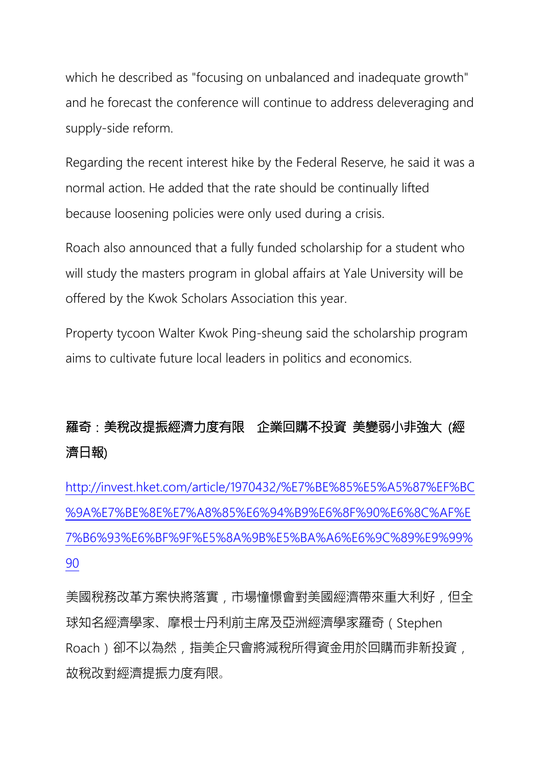which he described as "focusing on unbalanced and inadequate growth" and he forecast the conference will continue to address deleveraging and supply-side reform.

Regarding the recent interest hike by the Federal Reserve, he said it was a normal action. He added that the rate should be continually lifted because loosening policies were only used during a crisis.

Roach also announced that a fully funded scholarship for a student who will study the masters program in global affairs at Yale University will be offered by the Kwok Scholars Association this year.

Property tycoon Walter Kwok Ping-sheung said the scholarship program aims to cultivate future local leaders in politics and economics.

# 羅奇:美稅改提振經濟力度有限 企業回購不投資 美變弱小非強大 (經 濟日報)

http://invest.hket.com/article/1970432/%E7%BE%85%E5%A5%87%EF%BC %9A%E7%BE%8E%E7%A8%85%E6%94%B9%E6%8F%90%E6%8C%AF%E 7%B6%93%E6%BF%9F%E5%8A%9B%E5%BA%A6%E6%9C%89%E9%99% 90

美國稅務改革方案快將落實,市場憧憬會對美國經濟帶來重大利好,但全 球知名經濟學家、摩根士丹利前主席及亞洲經濟學家羅奇(Stephen Roach)卻不以為然,指美企只會將減稅所得資金用於回購而非新投資, 故稅改對經濟提振力度有限。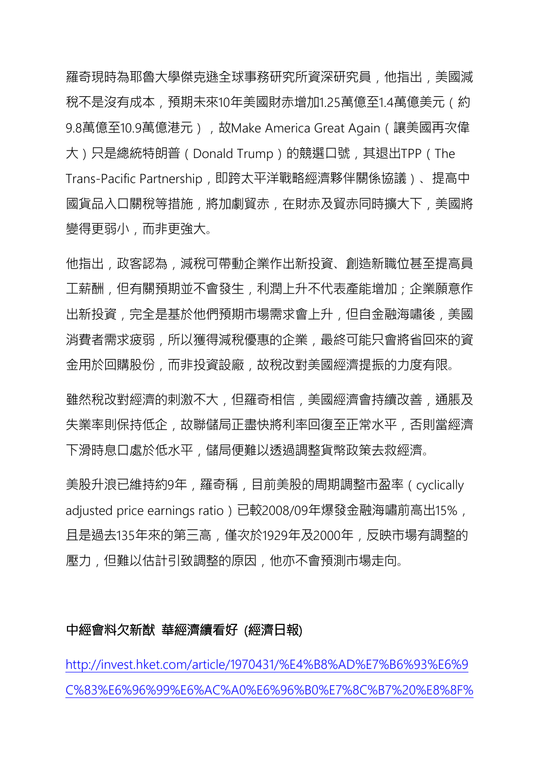羅奇現時為耶魯大學傑克遜全球事務研究所資深研究員,他指出,美國減 稅不是沒有成本,預期未來10年美國財赤增加1.25萬億至1.4萬億美元(約 9.8萬億至10.9萬億港元),故Make America Great Again ( 讓美國再次偉 大)只是總統特朗普(Donald Trump)的競選口號,其退出TPP(The Trans-Pacific Partnership, 即跨太平洋戰略經濟夥伴關係協議)、提高中 國貨品入口關稅等措施,將加劇貿赤,在財赤及貿赤同時擴大下,美國將 變得更弱小,而非更強大。

他指出,政客認為,減稅可帶動企業作出新投資、創造新職位甚至提高員 工薪酬,但有關預期並不會發生,利潤上升不代表產能增加;企業願意作 出新投資,完全是基於他們預期市場需求會上升,但自金融海嘯後,美國 消費者需求疲弱,所以獲得減稅優惠的企業,最終可能只會將省回來的資 金用於回購股份,而非投資設廠,故稅改對美國經濟提振的力度有限。

雖然稅改對經濟的刺激不大,但羅奇相信,美國經濟會持續改善,通脹及 失業率則保持低企,故聯儲局正盡快將利率回復至正常水平,否則當經濟 下滑時息口處於低水平,儲局便難以透過調整貨幣政策去救經濟。

美股升浪已維持約9年,羅奇稱,目前美股的周期調整市盈率(cyclically adjusted price earnings ratio)已較2008/09年爆發金融海嘯前高出15%, 且是過去135年來的第三高,僅次於1929年及2000年,反映市場有調整的 壓力,但難以估計引致調整的原因,他亦不會預測市場走向。

#### 中經會料欠新猷 華經濟續看好 (經濟日報)

http://invest.hket.com/article/1970431/%E4%B8%AD%E7%B6%93%E6%9 C%83%E6%96%99%E6%AC%A0%E6%96%B0%E7%8C%B7%20%E8%8F%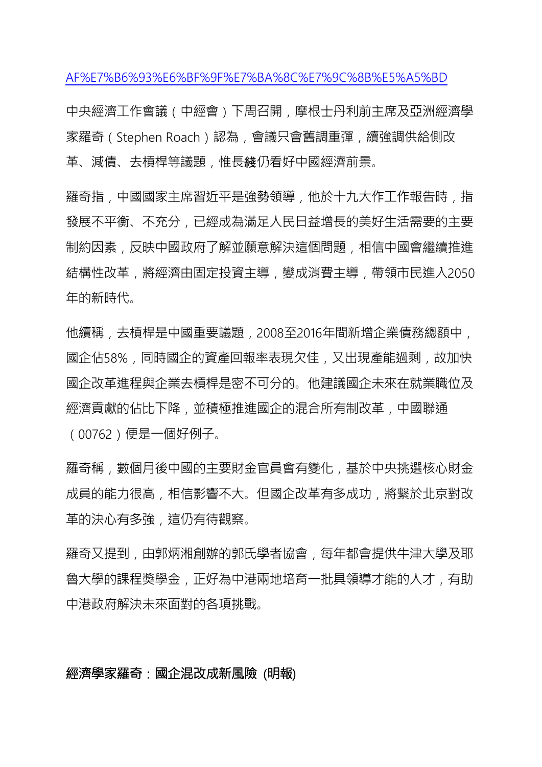AF%E7%B6%93%E6%BF%9F%E7%BA%8C%E7%9C%8B%E5%A5%BD

中央經濟工作會議(中經會)下周召開,摩根士丹利前主席及亞洲經濟學 家羅奇(Stephen Roach)認為,會議只會舊調重彈,續強調供給側改 革、減債、去槓桿等議題﹐惟長綫仍看好中國經濟前景。

羅奇指,中國國家主席習近平是強勢領導,他於十九大作工作報告時,指 發展不平衡、不充分,已經成為滿足人民日益增長的美好生活需要的主要 制約因素,反映中國政府了解並願意解決這個問題,相信中國會繼續推進 結構性改革,將經濟由固定投資主導,變成消費主導,帶領市民進入2050 年的新時代。

他續稱,去槓桿是中國重要議題,2008至2016年間新增企業債務總額中, 國企佔58%,同時國企的資產回報率表現欠佳,又出現產能過剩,故加快 國企改革進程與企業去槓桿是密不可分的。他建議國企未來在就業職位及 經濟貢獻的佔比下降,並積極推進國企的混合所有制改革,中國聯通 (00762)便是一個好例子。

羅奇稱,數個月後中國的主要財金官員會有變化,基於中央挑選核心財金 成員的能力很高,相信影響不大。但國企改革有多成功,將繫於北京對改 革的決心有多強,這仍有待觀察。

羅奇又提到,由郭炳湘創辦的郭氏學者協會,每年都會提供牛津大學及耶 魯大學的課程獎學金,正好為中港兩地培育一批具領導才能的人才,有助 中港政府解決未來面對的各項挑戰。

## 經濟學家羅奇:國企混改成新風險 (明報)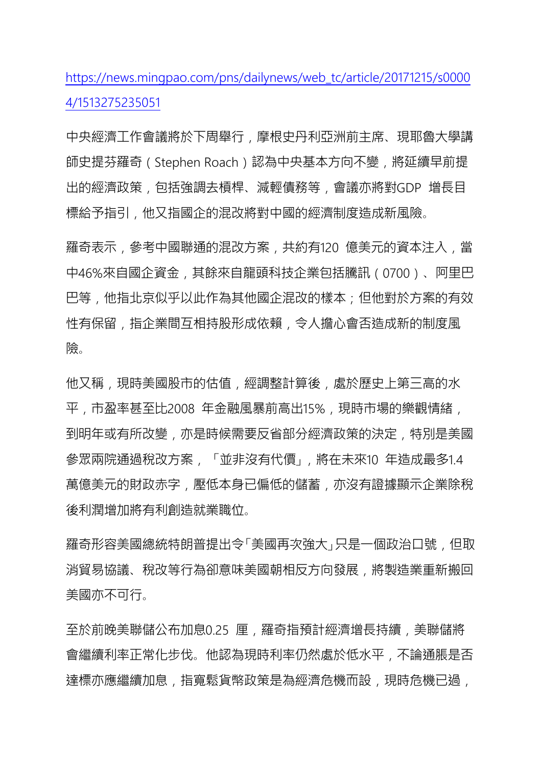https://news.mingpao.com/pns/dailynews/web\_tc/article/20171215/s0000 4/1513275235051

中央經濟工作會議將於下周舉行,摩根史丹利亞洲前主席、現耶魯大學講 師史提芬羅奇(Stephen Roach)認為中央基本方向不變,將延續早前提 出的經濟政策,包括強調去槓桿、減輕債務等,會議亦將對GDP 增長目 標給予指引,他又指國企的混改將對中國的經濟制度造成新風險。

羅奇表示,參考中國聯通的混改方案,共約有120億美元的資本注入,當 中46%來自國企資金,其餘來自龍頭科技企業包括騰訊(0700)、阿里巴 巴等,他指北京似乎以此作為其他國企混改的樣本;但他對於方案的有效 性有保留,指企業間互相持股形成依賴,令人擔心會否造成新的制度風 險。

他又稱,現時美國股市的估值,經調整計算後,處於歷史上第三高的水 平,市盈率甚至比2008年金融風暴前高出15%,現時市場的樂觀情緒, 到明年或有所改變,亦是時候需要反省部分經濟政策的決定,特別是美國 參眾兩院通過稅改方案, 「並非沒有代價」,將在未來10 年造成最多1.4 萬億美元的財政赤字,壓低本身已偏低的儲蓄,亦沒有證據顯示企業除稅 後利潤增加將有利創造就業職位。

羅奇形容美國總統特朗普提出令「美國再次強大」只是一個政治口號,但取 消貿易協議、稅改等行為卻意味美國朝相反方向發展,將製造業重新搬回 美國亦不可行。

至於前晚美聯儲公布加息0.25 厘,羅奇指預計經濟增長持續,美聯儲將 會繼續利率正常化步伐。他認為現時利率仍然處於低水平,不論通脹是否 達標亦應繼續加息﹐指寬鬆貨幣政策是為經濟危機而設﹐現時危機已過﹐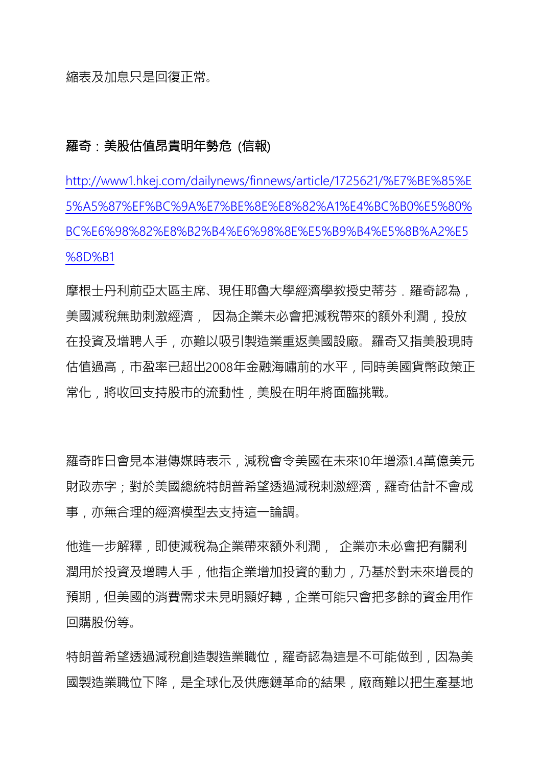縮表及加息只是回復正常。

### 羅奇:美股估值昂貴明年勢危 (信報)

http://www1.hkej.com/dailynews/finnews/article/1725621/%E7%BE%85%E 5%A5%87%EF%BC%9A%E7%BE%8E%E8%82%A1%E4%BC%B0%E5%80% BC%E6%98%82%E8%B2%B4%E6%98%8E%E5%B9%B4%E5%8B%A2%E5 %8D%B1

摩根士丹利前亞太區主席、現任耶魯大學經濟學教授史蒂芬、羅奇認為, 美國減稅無助刺激經濟, 因為企業未必會把減稅帶來的額外利潤,投放 在投資及增聘人手,亦難以吸引製造業重返美國設廠。羅奇又指美股現時 估值過高,市盈率已超出2008年金融海嘯前的水平,同時美國貨幣政策正 常化,將收回支持股市的流動性,美股在明年將面臨挑戰。

羅奇昨日會見本港傳媒時表示,減稅會令美國在未來10年增添1.4萬億美元 財政赤字;對於美國總統特朗普希望透過減稅刺激經濟,羅奇估計不會成 事,亦無合理的經濟模型去支持這一論調。

他進一步解釋,即使減稅為企業帶來額外利潤, 企業亦未必會把有關利 潤用於投資及增聘人手,他指企業增加投資的動力,乃基於對未來增長的 預期,但美國的消費需求未見明顯好轉,企業可能只會把多餘的資金用作 回購股份等。

特朗普希望透過減稅創造製造業職位,羅奇認為這是不可能做到,因為美 國製造業職位下降,是全球化及供應鏈革命的結果,廠商難以把生產基地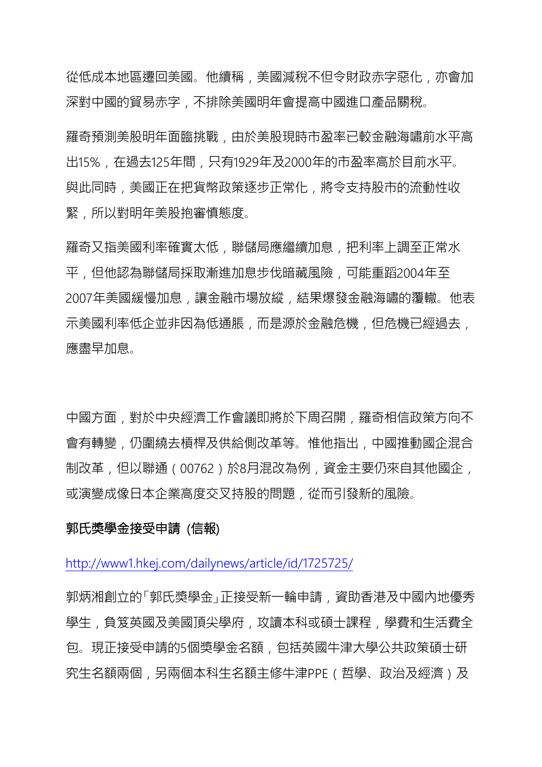從低成本地區遷回美國。他續稱,美國減稅不但令財政赤字惡化,亦會加 深對中國的貿易赤字,不排除美國明年會提高中國進口產品關稅。

羅奇預測美股明年面臨挑戰,由於美股現時市盈率已較金融海嘯前水平高 出15%,在過去125年間,只有1929年及2000年的市盈率高於目前水平。 與此同時,美國正在把貨幣政策逐步正常化,將令支持股市的流動性收 緊,所以對明年美股抱審慎態度。

羅奇又指美國利率確實太低,聯儲局應繼續加息,把利率上調至正常水 平,但他認為聯儲局採取漸進加息步伐暗藏風險,可能重蹈2004年至 2007年美國緩慢加息,讓金融市場放縱,結果爆發金融海嘯的覆轍。他表 示美國利率低企並非因為低通脹,而是源於金融危機,但危機已經過去, 應盡早加息。

中國方面,對於中央經濟工作會議即將於下周召開,羅奇相信政策方向不 會有轉變,仍圍繞去槓桿及供給側改革等。惟他指出,中國推動國企混合 制改革,但以聯通(00762)於8月混改為例,資金主要仍來自其他國企, 或演變成像日本企業高度交叉持股的問題,從而引發新的風險。

#### 郭氏獎學金接受申請 (信報)

http://www1.hkej.com/dailynews/article/id/1725725/

郭炳湘創立的「郭氏獎學金」正接受新一輪申請,資助香港及中國內地優秀 學生,負笈英國及美國頂尖學府,攻讀本科或碩士課程,學費和生活費全 包。現正接受申請的5個獎學金名額,包括英國牛津大學公共政策碩士研 究生名額兩個,另兩個本科生名額主修牛津PPE(哲學、政治及經濟)及